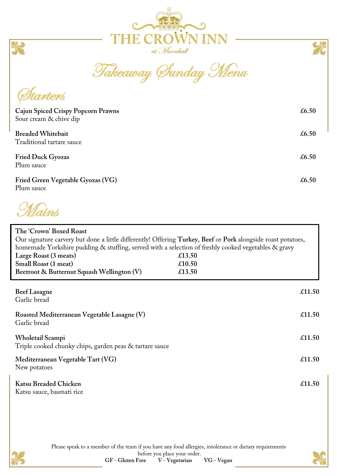



Takeaway Sunday Menu

*Starters* 

| Cajun Spiced Crispy Popcorn Prawns<br>Sour cream & chive dip | £6.50 |
|--------------------------------------------------------------|-------|
| <b>Breaded Whitebait</b><br>Traditional tartare sauce        | £6.50 |
| <b>Fried Duck Gyozas</b><br>Plum sauce                       | £6.50 |
| Fried Green Vegetable Gyozas (VG)<br>Plum sauce              | £6.50 |

Mains

| The 'Crown' Boxed Roast<br>Our signature carvery but done a little differently! Offering Turkey, Beef or Pork alongside roast potatoes,<br>homemade Yorkshire pudding & stuffing, served with a selection of freshly cooked vegetables & gravy<br>Large Roast (3 meats)<br>Small Roast (1 meat)<br>Beetroot & Butternut Squash Wellington (V) | £13.50<br>£10.50<br>£13.50 |
|-----------------------------------------------------------------------------------------------------------------------------------------------------------------------------------------------------------------------------------------------------------------------------------------------------------------------------------------------|----------------------------|
| <b>Beef Lasagne</b><br>Garlic bread                                                                                                                                                                                                                                                                                                           | £11.50                     |
| Roasted Mediterranean Vegetable Lasagne (V)<br>Garlic bread                                                                                                                                                                                                                                                                                   | $\pounds$ 11.50            |
| Wholetail Scampi<br>Triple cooked chunky chips, garden peas & tartare sauce                                                                                                                                                                                                                                                                   | $\pounds$ 11.50            |
| Mediterranean Vegetable Tart (VG)<br>New potatoes                                                                                                                                                                                                                                                                                             | $\textsterling$ 11.50      |
| <b>Katsu Breaded Chicken</b><br>Katsu sauce, basmati rice                                                                                                                                                                                                                                                                                     | £11.50                     |